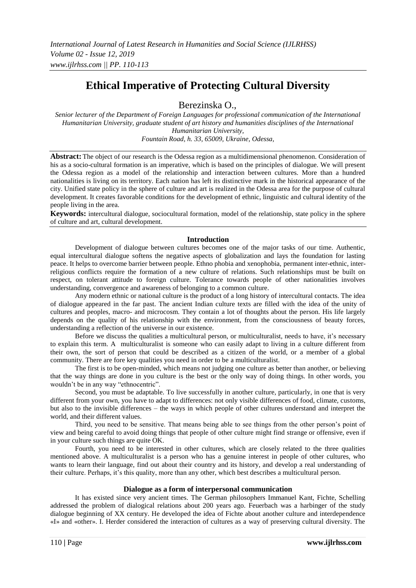# **Ethical Imperative of Protecting Cultural Diversity**

Berezinska O.,

*Senior lecturer of the Department of Foreign Languages for professional communication of the International Humanitarian University, graduate student of art history and humanities disciplines of the International Humanitarian University, Fountain Road, h. 33, 65009, Ukraine, Odessa,*

**Abstract:** The object of our research is the Odessa region as a multidimensional phenomenon. Consideration of his as a socio-cultural formation is an imperative, which is based on the principles of dialogue. We will present the Odessa region as a model of the relationship and interaction between cultures. More than a hundred nationalities is living on its territory. Each nation has left its distinctive mark in the historical appearance of the city. Unified state policy in the sphere of culture and art is realized in the Odessa area for the purpose of cultural development. It creates favorable conditions for the development of ethnic, linguistic and cultural identity of the people living in the area.

**Keywords:** intercultural dialogue, sociocultural formation, model of the relationship, state policy in the sphere of culture and art, cultural development.

#### **Introduction**

Development of dialogue between cultures becomes one of the major tasks of our time. Authentic, equal intercultural dialogue softens the negative aspects of globalization and lays the foundation for lasting peace. It helps to overcome barrier between people. Ethno phobia and xenophobia, permanent inter-ethnic, interreligious conflicts require the formation of a new culture of relations. Such relationships must be built on respect, on tolerant attitude to foreign culture. Tolerance towards people of other nationalities involves understanding, convergence and awareness of belonging to a common culture.

Any modern ethnic or national culture is the product of a long history of intercultural contacts. The idea of dialogue appeared in the far past. The ancient Indian culture texts are filled with the idea of the unity of cultures and peoples, macro- and microcosm. They contain a lot of thoughts about the person. His life largely depends on the quality of his relationship with the environment, from the consciousness of beauty forces, understanding a reflection of the universe in our existence.

Before we discuss the qualities a multicultural person, or multiculturalist, needs to have, it's necessary to explain this term. A multiculturalist is someone who can easily adapt to living in a culture different from their own, the sort of person that could be described as a citizen of the world, or a member of a global community. There are fore key qualities you need in order to be a multiculturalist.

The first is to be open-minded, which means not judging one culture as better than another, or believing that the way things are done in you culture is the best or the only way of doing things. In other words, you wouldn't be in any way "ethnocentric".

Second, you must be adaptable. To live successfully in another culture, particularly, in one that is very different from your own, you have to adapt to differences: not only visible differences of food, climate, customs, but also to the invisible differences – the ways in which people of other cultures understand and interpret the world, and their different values.

Third, you need to be sensitive. That means being able to see things from the other person's point of view and being careful to avoid doing things that people of other culture might find strange or offensive, even if in your culture such things are quite OK.

Fourth, you need to be interested in other cultures, which are closely related to the three qualities mentioned above. A multiculturalist is a person who has a genuine interest in people of other cultures, who wants to learn their language, find out about their country and its history, and develop a real understanding of their culture. Perhaps, it's this quality, more than any other, which best describes a multicultural person.

#### **Dialogue as a form of interpersonal communication**

It has existed since very ancient times. The German philosophers Immanuel Kant, Fichte, Schelling addressed the problem of dialogical relations about 200 years ago. Feuerbach was a harbinger of the study dialogue beginning of XX century. He developed the idea of Fichte about another culture and interdependence «I» and «other». I. Herder considered the interaction of cultures as a way of preserving cultural diversity. The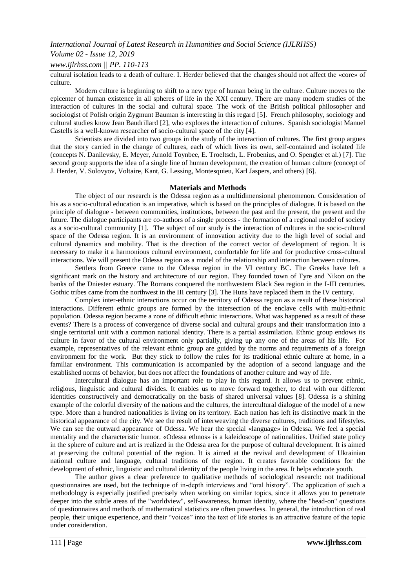#### *International Journal of Latest Research in Humanities and Social Science (IJLRHSS)*

#### *Volume 02 - Issue 12, 2019*

*www.ijlrhss.com || PP. 110-113*

cultural isolation leads to a death of culture. I. Herder believed that the changes should not affect the «core» of culture.

Modern culture is beginning to shift to a new type of human being in the culture. Culture moves to the epicenter of human existence in all spheres of life in the XXI century. There are many modern studies of the interaction of cultures in the social and cultural space. The work of the British political philosopher and sociologist of Polish origin Zygmunt Bauman is interesting in this regard [5]. French philosophy, sociology and cultural studies know Jean Baudrillard [2], who explores the interaction of cultures. Spanish sociologist Manuel Castells is a well-known researcher of socio-cultural space of the city [4].

Scientists are divided into two groups in the study of the interaction of cultures. The first group argues that the story carried in the change of cultures, each of which lives its own, self-contained and isolated life (concepts N. Danilevsky, E. Meyer, Arnold Toynbee, E. Troeltsch, L. Frobenius, and O. Spengler et al.) [7]. The second group supports the idea of a single line of human development, the creation of human culture (concept of J. Herder, V. Solovyov, Voltaire, Kant, G. Lessing, Montesquieu, Karl Jaspers, and others) [6].

#### **Materials and Methods**

The object of our research is the Odessa region as a multidimensional phenomenon. Consideration of his as a socio-cultural education is an imperative, which is based on the principles of dialogue. It is based on the principle of dialogue - between communities, institutions, between the past and the present, the present and the future. The dialogue participants are co-authors of a single process - the formation of a regional model of society as a socio-cultural community [1]. The subject of our study is the interaction of cultures in the socio-cultural space of the Odessa region. It is an environment of innovation activity due to the high level of social and cultural dynamics and mobility. That is the direction of the correct vector of development of region. It is necessary to make it a harmonious cultural environment, comfortable for life and for productive cross-cultural interactions. We will present the Odessa region as a model of the relationship and interaction between cultures.

Settlers from Greece came to the Odessa region in the VI century BC. The Greeks have left a significant mark on the history and architecture of our region. They founded town of Tyre and Nikon on the banks of the Dniester estuary. The Romans conquered the northwestern Black Sea region in the I-III centuries. Gothic tribes came from the northwest in the III century [3]. The Huns have replaced them in the IV century.

Complex inter-ethnic interactions occur on the territory of Odessa region as a result of these historical interactions. Different ethnic groups are formed by the intersection of the enclave cells with multi-ethnic population. Odessa region became a zone of difficult ethnic interactions. What was happened as a result of these events? There is a process of convergence of diverse social and cultural groups and their transformation into a single territorial unit with a common national identity. There is a partial assimilation. Ethnic group endows its culture in favor of the cultural environment only partially, giving up any one of the areas of his life. For example, representatives of the relevant ethnic group are guided by the norms and requirements of a foreign environment for the work. But they stick to follow the rules for its traditional ethnic culture at home, in a familiar environment. This communication is accompanied by the adoption of a second language and the established norms of behavior, but does not affect the foundations of another culture and way of life.

Intercultural dialogue has an important role to play in this regard. It allows us to prevent ethnic, religious, linguistic and cultural divides. It enables us to move forward together, to deal with our different identities constructively and democratically on the basis of shared universal values [8]. Odessa is a shining example of the colorful diversity of the nations and the cultures, the intercultural dialogue of the model of a new type. More than a hundred nationalities is living on its territory. Each nation has left its distinctive mark in the historical appearance of the city. We see the result of interweaving the diverse cultures, traditions and lifestyles. We can see the outward appearance of Odessa. We hear the special «language» in Odessa. We feel a special mentality and the characteristic humor. «Odessa ethnos» is a kaleidoscope of nationalities. Unified state policy in the sphere of culture and art is realized in the Odessa area for the purpose of cultural development. It is aimed at preserving the cultural potential of the region. It is aimed at the revival and development of Ukrainian national culture and language, cultural traditions of the region. It creates favorable conditions for the development of ethnic, linguistic and cultural identity of the people living in the area. It helps educate youth.

The author gives a clear preference to qualitative methods of sociological research: not traditional questionnaires are used, but the technique of in-depth interviews and "oral history". The application of such a methodology is especially justified precisely when working on similar topics, since it allows you to penetrate deeper into the subtle areas of the "worldview", self-awareness, human identity, where the "head-on" questions of questionnaires and methods of mathematical statistics are often powerless. In general, the introduction of real people, their unique experience, and their "voices" into the text of life stories is an attractive feature of the topic under consideration.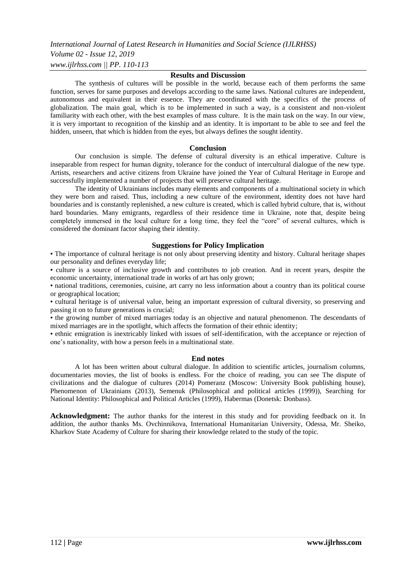*International Journal of Latest Research in Humanities and Social Science (IJLRHSS)*

*Volume 02 - Issue 12, 2019 www.ijlrhss.com || PP. 110-113*

# **Results and Discussion**

The synthesis of cultures will be possible in the world, because each of them performs the same function, serves for same purposes and develops according to the same laws. National cultures are independent, autonomous and equivalent in their essence. They are coordinated with the specifics of the process of globalization. The main goal, which is to be implemented in such a way, is a consistent and non-violent familiarity with each other, with the best examples of mass culture. It is the main task on the way. In our view, it is very important to recognition of the kinship and an identity. It is important to be able to see and feel the hidden, unseen, that which is hidden from the eyes, but always defines the sought identity.

# **Conclusion**

Our conclusion is simple. The defense of cultural diversity is an ethical imperative. Culture is inseparable from respect for human dignity, tolerance for the conduct of intercultural dialogue of the new type. Artists, researchers and active citizens from Ukraine have joined the Year of Cultural Heritage in Europe and successfully implemented a number of projects that will preserve cultural heritage.

The identity of Ukrainians includes many elements and components of a multinational society in which they were born and raised. Thus, including a new culture of the environment, identity does not have hard boundaries and is constantly replenished, a new culture is created, which is called hybrid culture, that is, without hard boundaries. Many emigrants, regardless of their residence time in Ukraine, note that, despite being completely immersed in the local culture for a long time, they feel the "core" of several cultures, which is considered the dominant factor shaping their identity.

# **Suggestions for Policy Implication**

▪ The importance of cultural heritage is not only about preserving identity and history. Cultural heritage shapes our personality and defines everyday life;

▪ culture is a source of inclusive growth and contributes to job creation. And in recent years, despite the economic uncertainty, international trade in works of art has only grown;

▪ national traditions, ceremonies, cuisine, art carry no less information about a country than its political course or geographical location;

▪ cultural heritage is of universal value, being an important expression of cultural diversity, so preserving and passing it on to future generations is crucial;

▪ the growing number of mixed marriages today is an objective and natural phenomenon. The descendants of mixed marriages are in the spotlight, which affects the formation of their ethnic identity;

▪ ethnic emigration is inextricably linked with issues of self-identification, with the acceptance or rejection of one's nationality, with how a person feels in a multinational state.

# **End notes**

A lot has been written about cultural dialogue. In addition to scientific articles, journalism columns, documentaries movies, the list of books is endless. For the choice of reading, you can see The dispute of civilizations and the dialogue of cultures (2014) Pomeranz (Moscow: University Book publishing house), Phenomenon of Ukrainians (2013), Semenuk (Philosophical and political articles (1999)), Searching for National Identity: Philosophical and Political Articles (1999), Habermas (Donetsk: Donbass).

**Acknowledgment:** The author thanks for the interest in this study and for providing feedback on it. In addition, the author thanks Ms. Ovchinnikova, International Humanitarian University, Odessa, Mr. Sheiko, Kharkov State Academy of Culture for sharing their knowledge related to the study of the topic.